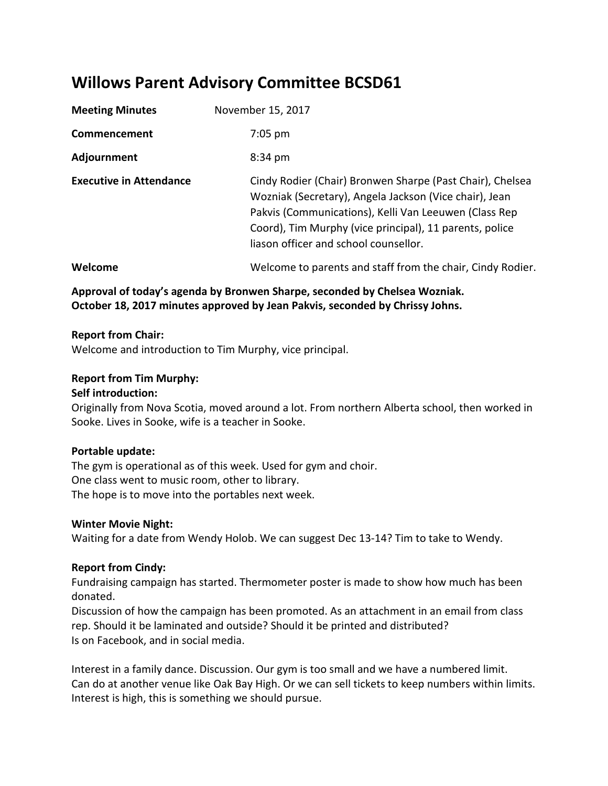# **Willows Parent Advisory Committee BCSD61**

| <b>Meeting Minutes</b>         | November 15, 2017                                                                                                                                                                                                                                                                |
|--------------------------------|----------------------------------------------------------------------------------------------------------------------------------------------------------------------------------------------------------------------------------------------------------------------------------|
| Commencement                   | $7:05$ pm                                                                                                                                                                                                                                                                        |
| Adjournment                    | 8:34 pm                                                                                                                                                                                                                                                                          |
| <b>Executive in Attendance</b> | Cindy Rodier (Chair) Bronwen Sharpe (Past Chair), Chelsea<br>Wozniak (Secretary), Angela Jackson (Vice chair), Jean<br>Pakvis (Communications), Kelli Van Leeuwen (Class Rep<br>Coord), Tim Murphy (vice principal), 11 parents, police<br>liason officer and school counsellor. |
| Welcome                        | Welcome to parents and staff from the chair, Cindy Rodier.                                                                                                                                                                                                                       |

# **Approval of today's agenda by Bronwen Sharpe, seconded by Chelsea Wozniak. October 18, 2017 minutes approved by Jean Pakvis, seconded by Chrissy Johns.**

#### **Report from Chair:**

Welcome and introduction to Tim Murphy, vice principal.

## **Report from Tim Murphy:**

#### **Self introduction:**

Originally from Nova Scotia, moved around a lot. From northern Alberta school, then worked in Sooke. Lives in Sooke, wife is a teacher in Sooke.

#### **Portable update:**

The gym is operational as of this week. Used for gym and choir. One class went to music room, other to library. The hope is to move into the portables next week.

#### **Winter Movie Night:**

Waiting for a date from Wendy Holob. We can suggest Dec 13-14? Tim to take to Wendy.

## **Report from Cindy:**

Fundraising campaign has started. Thermometer poster is made to show how much has been donated.

Discussion of how the campaign has been promoted. As an attachment in an email from class rep. Should it be laminated and outside? Should it be printed and distributed? Is on Facebook, and in social media.

Interest in a family dance. Discussion. Our gym is too small and we have a numbered limit. Can do at another venue like Oak Bay High. Or we can sell tickets to keep numbers within limits. Interest is high, this is something we should pursue.